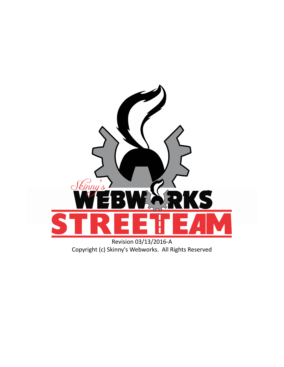

Copyright (c) Skinny's Webworks. All Rights Reserved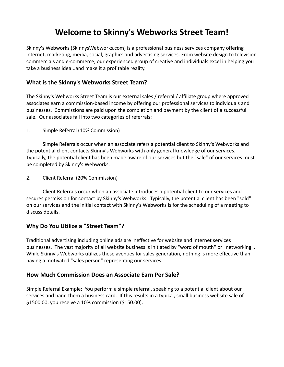# **Welcome to Skinny's Webworks Street Team!**

Skinny's Webworks (SkinnysWebworks.com) is a professional business services company offering internet, marketing, media, social, graphics and advertising services. From website design to television commercials and e-commerce, our experienced group of creative and individuals excel in helping you take a business idea...and make it a profitable reality.

# **What is the Skinny's Webworks Street Team?**

The Skinny's Webworks Street Team is our external sales / referral / affiliate group where approved associates earn a commission-based income by offering our professional services to individuals and businesses. Commissions are paid upon the completion and payment by the client of a successful sale. Our associates fall into two categories of referrals:

1. Simple Referral (10% Commission)

Simple Referrals occur when an associate refers a potential client to Skinny's Webworks and the potential client contacts Skinny's Webworks with only general knowledge of our services. Typically, the potential client has been made aware of our services but the "sale" of our services must be completed by Skinny's Webworks.

2. Client Referral (20% Commission)

Client Referrals occur when an associate introduces a potential client to our services and secures permission for contact by Skinny's Webworks. Typically, the potential client has been "sold" on our services and the initial contact with Skinny's Webworks is for the scheduling of a meeting to discuss details.

## **Why Do You Utilize a "Street Team"?**

Traditional advertising including online ads are ineffective for website and internet services businesses. The vast majority of all website business is initiated by "word of mouth" or "networking". While Skinny's Webworks utilizes these avenues for sales generation, nothing is more effective than having a motivated "sales person" representing our services.

## **How Much Commission Does an Associate Earn Per Sale?**

Simple Referral Example: You perform a simple referral, speaking to a potential client about our services and hand them a business card. If this results in a typical, small business website sale of \$1500.00, you receive a 10% commission (\$150.00).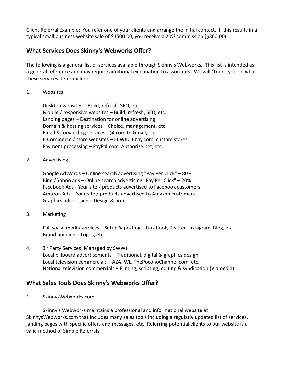Client Referral Example: You refer one of your clients and arrange the initial contact. If this results in a typical small business website sale of \$1500.00, you receive a 20% commission (\$300.00).

## **What Services Does Skinny's Webworks Offer?**

The following is a general list of services available through Skinny's Webworks. This list is intended as a general reference and may require additional explanation to associates. We will "train" you on what these services items include.

1. Websites

Desktop websites – Build, refresh, SEO, etc. Mobile / responsive websites – Build, refresh, SEO, etc. Landing pages – Destination for online advertising Domain & hosting services – Choice, management, etc. Email & forwarding services - @.com to Gmail, etc. E-Commerce / store websites – ECWID, Ebay.com, custom stores Payment processing – PayPal.com, Authorize.net, etc.

2. Advertising

Google AdWords – Online search advertising "Pay Per Click" – 80% Bing / Yahoo ads – Online search advertising "Pay Per Click" – 20% Facebook Ads - Your site / products advertised to Facebook customers Amazon Ads – Your site / products advertised to Amazon customers Graphics advertising – Design & print

3. Marketing

Full social media services – Setup & posting – Facebook, Twitter, Instagram, Blog, etc. Brand building – Logos, etc.

 $4.$ 3<sup>rd</sup> Party Services (Managed by SWW) Local billboard advertisements – Traditional, digital & graphics design Local television commercials – AZA, WL, ThePoconoChannel.com, etc. National television commercials – Filming, scripting, editing & syndication (Viamedia)

## **What Sales Tools Does Skinny's Webworks Offer?**

1. SkinnysWebworks.com

Skinny's Webworks maintains a professional and informational website at SkinnysWebworks.com that includes many sales tools including a regularly updated list of services, landing pages with specific offers and messages, etc. Referring potential clients to our website is a valid method of Simple Referrals.